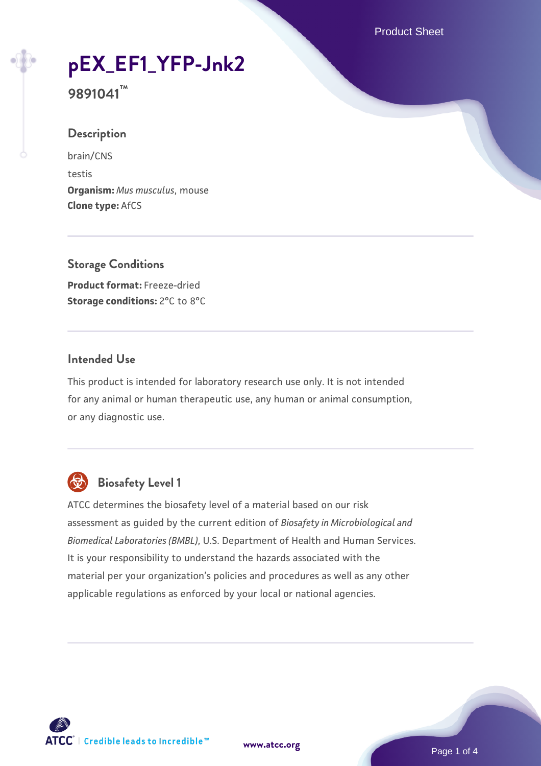# **[pEX\\_EF1\\_YFP-Jnk2](https://www.atcc.org/products/9891041)**

**9891041™**

#### **Description**

brain/CNS testis **Organism:** *Mus musculus*, mouse **Clone type:** AfCS

#### **Storage Conditions**

**Product format:** Freeze-dried **Storage conditions: 2°C to 8°C** 

#### **Intended Use**

This product is intended for laboratory research use only. It is not intended for any animal or human therapeutic use, any human or animal consumption, or any diagnostic use.



# **Biosafety Level 1**

ATCC determines the biosafety level of a material based on our risk assessment as guided by the current edition of *Biosafety in Microbiological and Biomedical Laboratories (BMBL)*, U.S. Department of Health and Human Services. It is your responsibility to understand the hazards associated with the material per your organization's policies and procedures as well as any other applicable regulations as enforced by your local or national agencies.

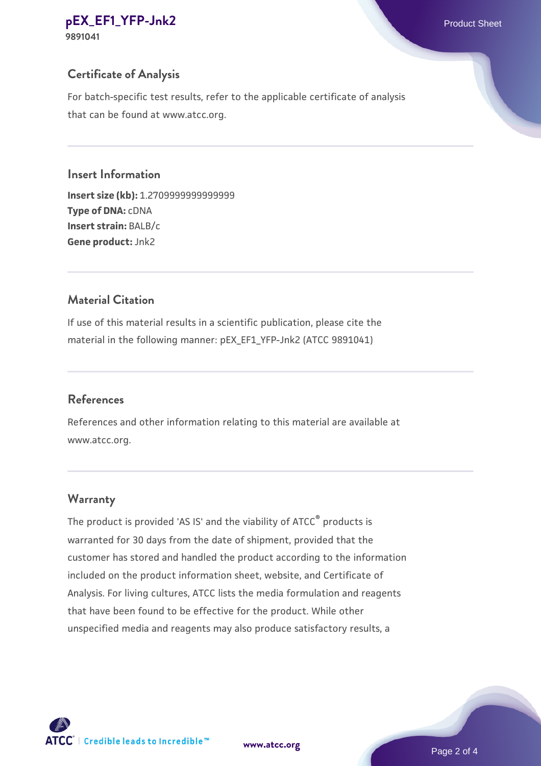# **[pEX\\_EF1\\_YFP-Jnk2](https://www.atcc.org/products/9891041)** Product Sheet

**9891041**

# **Certificate of Analysis**

For batch-specific test results, refer to the applicable certificate of analysis that can be found at www.atcc.org.

### **Insert Information**

**Insert size (kb):** 1.2709999999999999 **Type of DNA:** cDNA **Insert strain:** BALB/c **Gene product:** Jnk2

## **Material Citation**

If use of this material results in a scientific publication, please cite the material in the following manner: pEX\_EF1\_YFP-Jnk2 (ATCC 9891041)

# **References**

References and other information relating to this material are available at www.atcc.org.

# **Warranty**

The product is provided 'AS IS' and the viability of ATCC® products is warranted for 30 days from the date of shipment, provided that the customer has stored and handled the product according to the information included on the product information sheet, website, and Certificate of Analysis. For living cultures, ATCC lists the media formulation and reagents that have been found to be effective for the product. While other unspecified media and reagents may also produce satisfactory results, a

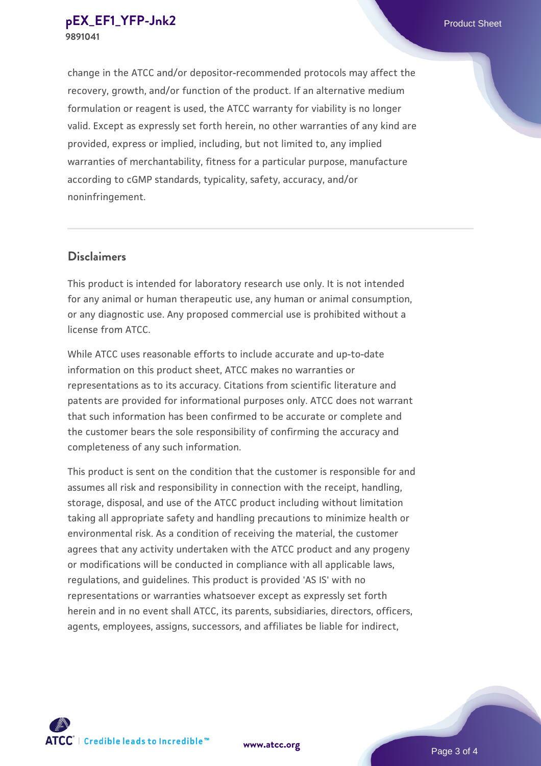change in the ATCC and/or depositor-recommended protocols may affect the recovery, growth, and/or function of the product. If an alternative medium formulation or reagent is used, the ATCC warranty for viability is no longer valid. Except as expressly set forth herein, no other warranties of any kind are provided, express or implied, including, but not limited to, any implied warranties of merchantability, fitness for a particular purpose, manufacture according to cGMP standards, typicality, safety, accuracy, and/or noninfringement.

#### **Disclaimers**

This product is intended for laboratory research use only. It is not intended for any animal or human therapeutic use, any human or animal consumption, or any diagnostic use. Any proposed commercial use is prohibited without a license from ATCC.

While ATCC uses reasonable efforts to include accurate and up-to-date information on this product sheet, ATCC makes no warranties or representations as to its accuracy. Citations from scientific literature and patents are provided for informational purposes only. ATCC does not warrant that such information has been confirmed to be accurate or complete and the customer bears the sole responsibility of confirming the accuracy and completeness of any such information.

This product is sent on the condition that the customer is responsible for and assumes all risk and responsibility in connection with the receipt, handling, storage, disposal, and use of the ATCC product including without limitation taking all appropriate safety and handling precautions to minimize health or environmental risk. As a condition of receiving the material, the customer agrees that any activity undertaken with the ATCC product and any progeny or modifications will be conducted in compliance with all applicable laws, regulations, and guidelines. This product is provided 'AS IS' with no representations or warranties whatsoever except as expressly set forth herein and in no event shall ATCC, its parents, subsidiaries, directors, officers, agents, employees, assigns, successors, and affiliates be liable for indirect,